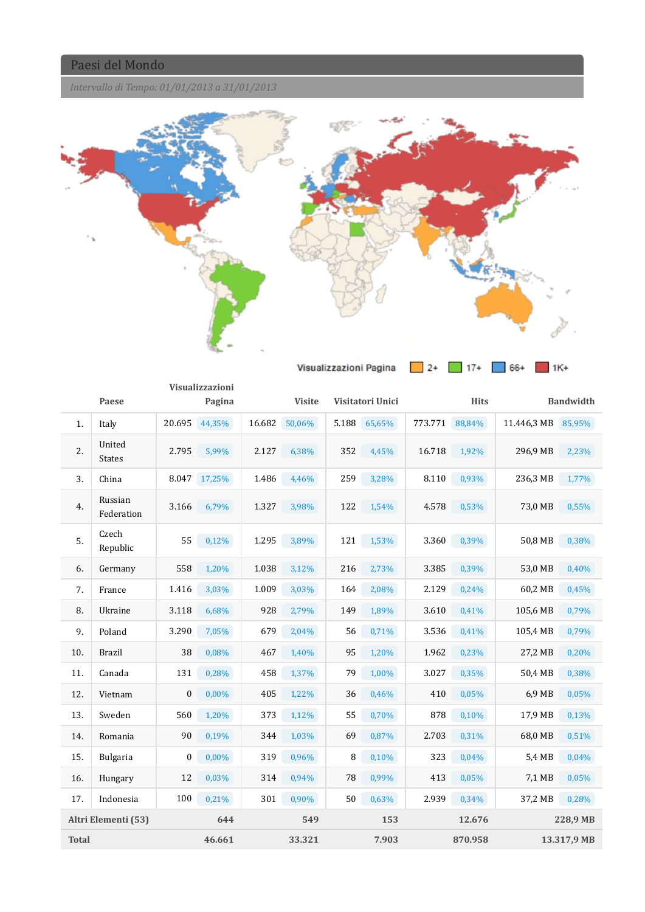*Intervallo di Tempo: 01/01/2013 a 31/01/2013*



|              |                         |                  | Visualizzazioni |        |               |     |                  |         |             |                    |                  |
|--------------|-------------------------|------------------|-----------------|--------|---------------|-----|------------------|---------|-------------|--------------------|------------------|
|              | Paese                   |                  | Pagina          |        | <b>Visite</b> |     | Visitatori Unici |         | <b>Hits</b> |                    | <b>Bandwidth</b> |
| 1.           | Italy                   |                  | 20.695 44,35%   | 16.682 | 50,06%        |     | 5.188 65,65%     | 773.771 | 88,84%      | 11.446,3 MB 85,95% |                  |
| 2.           | United<br><b>States</b> | 2.795            | 5,99%           | 2.127  | 6,38%         | 352 | 4,45%            | 16.718  | 1,92%       | 296,9 MB           | 2,23%            |
| 3.           | China                   | 8.047            | 17,25%          | 1.486  | 4,46%         | 259 | 3,28%            | 8.110   | 0,93%       | 236,3 MB           | 1,77%            |
| 4.           | Russian<br>Federation   | 3.166            | 6,79%           | 1.327  | 3,98%         | 122 | 1,54%            | 4.578   | 0,53%       | 73,0 MB            | 0,55%            |
| 5.           | Czech<br>Republic       | 55               | 0,12%           | 1.295  | 3,89%         | 121 | 1,53%            | 3.360   | 0,39%       | 50,8 MB            | 0,38%            |
| 6.           | Germany                 | 558              | 1,20%           | 1.038  | 3,12%         | 216 | 2,73%            | 3.385   | 0,39%       | 53,0 MB            | 0,40%            |
| 7.           | France                  | 1.416            | 3,03%           | 1.009  | 3,03%         | 164 | 2,08%            | 2.129   | 0,24%       | 60,2 MB            | 0,45%            |
| 8.           | Ukraine                 | 3.118            | 6,68%           | 928    | 2,79%         | 149 | 1,89%            | 3.610   | 0,41%       | 105,6 MB           | 0,79%            |
| 9.           | Poland                  | 3.290            | 7,05%           | 679    | 2,04%         | 56  | 0,71%            | 3.536   | 0,41%       | 105,4 MB           | 0,79%            |
| 10.          | <b>Brazil</b>           | 38               | 0,08%           | 467    | 1,40%         | 95  | 1,20%            | 1.962   | 0,23%       | 27,2 MB            | 0,20%            |
| 11.          | Canada                  | 131              | 0,28%           | 458    | 1,37%         | 79  | 1,00%            | 3.027   | 0,35%       | 50,4 MB            | 0,38%            |
| 12.          | Vietnam                 | $\boldsymbol{0}$ | 0,00%           | 405    | 1,22%         | 36  | 0,46%            | 410     | 0,05%       | 6.9 MB             | 0,05%            |
| 13.          | Sweden                  | 560              | 1,20%           | 373    | 1,12%         | 55  | 0,70%            | 878     | 0,10%       | 17,9 MB            | 0,13%            |
| 14.          | Romania                 | 90               | 0,19%           | 344    | 1,03%         | 69  | 0,87%            | 2.703   | 0,31%       | 68,0 MB            | 0,51%            |
| 15.          | <b>Bulgaria</b>         | $\boldsymbol{0}$ | $0,00\%$        | 319    | 0,96%         | 8   | 0,10%            | 323     | 0,04%       | 5.4 MB             | 0,04%            |
| 16.          | Hungary                 | 12               | 0,03%           | 314    | 0,94%         | 78  | 0,99%            | 413     | 0,05%       | 7,1 MB             | 0,05%            |
| 17.          | Indonesia               | 100              | 0,21%           | 301    | 0,90%         | 50  | 0,63%            | 2.939   | 0,34%       | 37,2 MB            | 0,28%            |
|              | Altri Elementi (53)     |                  | 644             |        | 549           |     | 153              |         | 12.676      |                    | 228,9 MB         |
| <b>Total</b> |                         |                  | 46.661          |        | 33.321        |     | 7.903            |         | 870.958     |                    | 13.317,9 MB      |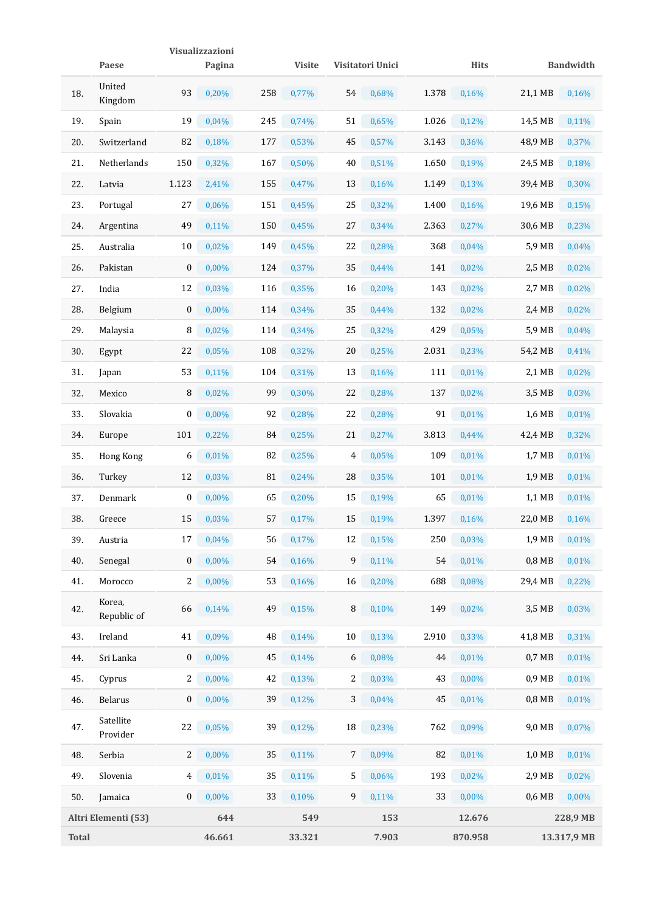|              |                       |                  | Visualizzazioni |     |               |    |                  |       |             |                   |                  |
|--------------|-----------------------|------------------|-----------------|-----|---------------|----|------------------|-------|-------------|-------------------|------------------|
|              | Paese                 |                  | Pagina          |     | <b>Visite</b> |    | Visitatori Unici |       | <b>Hits</b> |                   | <b>Bandwidth</b> |
| 18.          | United<br>Kingdom     | 93               | 0,20%           | 258 | 0,77%         | 54 | 0,68%            | 1.378 | 0,16%       | 21,1 MB           | 0,16%            |
| 19.          | Spain                 | 19               | 0,04%           | 245 | 0,74%         | 51 | 0,65%            | 1.026 | 0,12%       | 14,5 MB           | 0,11%            |
| 20.          | Switzerland           | 82               | 0,18%           | 177 | 0,53%         | 45 | 0,57%            | 3.143 | 0,36%       | 48,9 MB           | 0,37%            |
| 21.          | Netherlands           | 150              | 0,32%           | 167 | 0,50%         | 40 | 0,51%            | 1.650 | 0,19%       | 24,5 MB           | 0,18%            |
| 22.          | Latvia                | 1.123            | 2,41%           | 155 | 0,47%         | 13 | 0,16%            | 1.149 | 0,13%       | 39,4 MB           | 0,30%            |
| 23.          | Portugal              | 27               | 0,06%           | 151 | 0,45%         | 25 | 0,32%            | 1.400 | 0,16%       | 19,6 MB           | 0,15%            |
| 24.          | Argentina             | 49               | 0,11%           | 150 | 0,45%         | 27 | 0,34%            | 2.363 | 0,27%       | 30,6 MB           | 0,23%            |
| 25.          | Australia             | 10               | 0,02%           | 149 | 0,45%         | 22 | 0,28%            | 368   | 0,04%       | 5,9 MB            | 0,04%            |
| 26.          | Pakistan              | $\boldsymbol{0}$ | 0,00%           | 124 | 0,37%         | 35 | 0,44%            | 141   | 0,02%       | 2,5 MB            | 0,02%            |
| 27.          | India                 | 12               | 0,03%           | 116 | 0,35%         | 16 | 0,20%            | 143   | 0,02%       | 2,7 MB            | 0,02%            |
| 28.          | Belgium               | $\mathbf{0}$     | 0,00%           | 114 | 0,34%         | 35 | 0,44%            | 132   | 0,02%       | 2,4 MB            | 0,02%            |
| 29.          | Malaysia              | 8                | 0,02%           | 114 | 0,34%         | 25 | 0,32%            | 429   | 0,05%       | 5,9 MB            | 0,04%            |
| 30.          | Egypt                 | 22               | 0,05%           | 108 | 0,32%         | 20 | 0,25%            | 2.031 | 0,23%       | 54,2 MB           | 0,41%            |
| 31.          | Japan                 | 53               | 0,11%           | 104 | 0,31%         | 13 | 0,16%            | 111   | 0,01%       | 2,1 MB            | 0,02%            |
| 32.          | Mexico                | 8                | 0,02%           | 99  | 0,30%         | 22 | 0,28%            | 137   | 0,02%       | 3,5 MB            | 0,03%            |
| 33.          | Slovakia              | $\bf{0}$         | 0,00%           | 92  | 0,28%         | 22 | 0,28%            | 91    | 0,01%       | 1,6 MB            | 0,01%            |
| 34.          | Europe                | 101              | 0,22%           | 84  | 0,25%         | 21 | 0,27%            | 3.813 | 0,44%       | 42,4 MB           | 0,32%            |
| 35.          | Hong Kong             | 6                | 0,01%           | 82  | 0,25%         | 4  | 0,05%            | 109   | 0,01%       | $1.7 \text{ MB}$  | 0,01%            |
| 36.          | Turkey                | 12               | 0,03%           | 81  | 0,24%         | 28 | 0,35%            | 101   | 0,01%       | 1,9 MB            | 0,01%            |
| 37.          | <b>Denmark</b>        | 0                | $0,00\%$        | 65  | 0,20%         | 15 | 0,19%            | 65    | 0,01%       | 1,1 MB            | 0,01%            |
| 38.          | Greece                | 15               | 0,03%           | 57  | 0,17%         | 15 | 0,19%            | 1.397 | 0,16%       | 22,0 MB           | 0,16%            |
| 39.          | Austria               | 17               | 0,04%           | 56  | 0,17%         | 12 | 0,15%            | 250   | 0,03%       | 1,9 MB            | 0,01%            |
| 40.          | Senegal               | $\boldsymbol{0}$ | 0,00%           | 54  | 0,16%         | 9  | 0,11%            | 54    | 0,01%       | $0,8$ MB          | 0,01%            |
| 41.          | Morocco               | 2                | $0,00\%$        | 53  | 0,16%         | 16 | 0,20%            | 688   | 0,08%       | 29,4 MB           | 0,22%            |
| 42.          | Korea,<br>Republic of | 66               | 0,14%           | 49  | 0,15%         | 8  | 0,10%            | 149   | 0,02%       | 3,5 MB            | 0,03%            |
| 43.          | Ireland               | 41               | 0,09%           | 48  | 0,14%         | 10 | 0,13%            | 2.910 | 0,33%       | 41,8 MB           | 0,31%            |
| 44.          | Sri Lanka             | $\boldsymbol{0}$ | 0,00%           | 45  | 0,14%         | 6  | 0,08%            | 44    | 0,01%       | 0.7 <sub>MB</sub> | 0,01%            |
| 45.          | Cyprus                | 2                | $0,00\%$        | 42  | 0,13%         | 2  | 0,03%            | 43    | $0,00\%$    | 0.9 <sub>MB</sub> | 0,01%            |
| 46.          | Belarus               | $\boldsymbol{0}$ | 0,00%           | 39  | 0,12%         | 3  | 0,04%            | 45    | 0,01%       | $0,8$ MB          | 0,01%            |
| 47.          | Satellite<br>Provider | 22               | 0,05%           | 39  | 0,12%         | 18 | 0,23%            | 762   | 0,09%       | 9,0 MB            | 0,07%            |
| 48.          | Serbia                | $\overline{c}$   | 0,00%           | 35  | 0,11%         | 7  | 0,09%            | 82    | 0,01%       | 1,0 MB            | 0,01%            |
| 49.          | Slovenia              | 4                | 0,01%           | 35  | 0,11%         | 5  | 0,06%            | 193   | 0,02%       | 2,9 MB            | 0,02%            |
| 50.          | Jamaica               | $\boldsymbol{0}$ | 0,00%           | 33  | 0,10%         | 9  | 0,11%            | 33    | 0,00%       | 0,6 MB            | 0,00%            |
|              | Altri Elementi (53)   |                  | 644             |     | 549           |    | 153              |       | 12.676      |                   | 228,9 MB         |
| <b>Total</b> |                       |                  | 46.661          |     | 33.321        |    | 7.903            |       | 870.958     |                   | 13.317,9 MB      |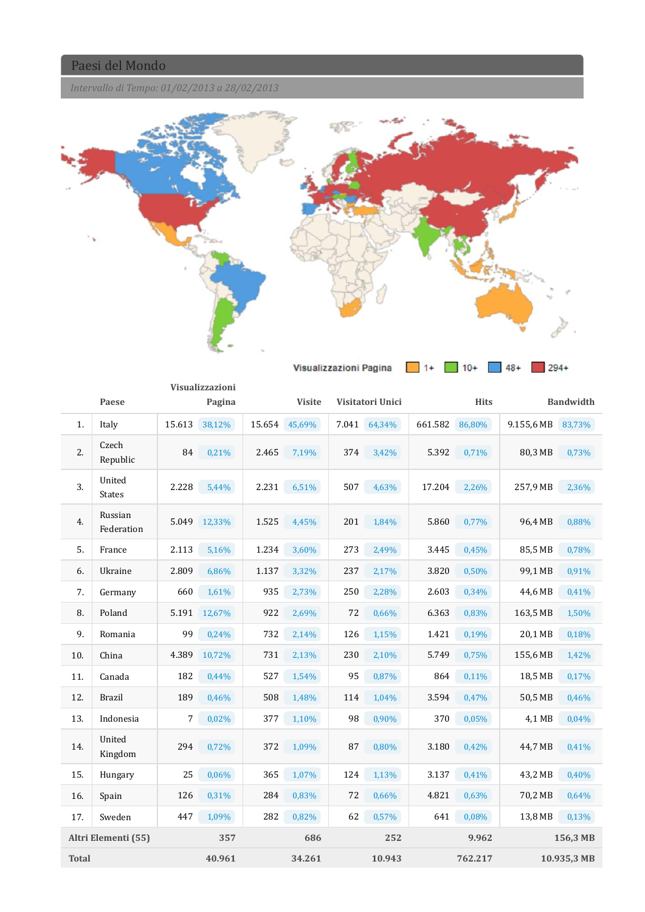*Intervallo di Tempo: 01/02/2013 a 28/02/2013*



|     | Visualizzazioni<br>Paese<br>Pagina |        |        | Visitatori Unici<br><b>Visite</b> |        |       |        |         | <b>Hits</b> | <b>Bandwidth</b> |          |
|-----|------------------------------------|--------|--------|-----------------------------------|--------|-------|--------|---------|-------------|------------------|----------|
| 1.  | Italy                              | 15.613 | 38,12% | 15.654                            | 45,69% | 7.041 | 64,34% | 661.582 | 86,80%      | 9.155,6 MB       | 83,73%   |
| 2.  | Czech<br>Republic                  | 84     | 0,21%  | 2.465                             | 7,19%  | 374   | 3,42%  | 5.392   | 0,71%       | 80,3 MB          | 0,73%    |
| 3.  | United<br><b>States</b>            | 2.228  | 5,44%  | 2.231                             | 6,51%  | 507   | 4,63%  | 17.204  | 2,26%       | 257,9 MB         | 2,36%    |
| 4.  | Russian<br>Federation              | 5.049  | 12,33% | 1.525                             | 4,45%  | 201   | 1,84%  | 5.860   | 0,77%       | 96,4 MB          | 0,88%    |
| 5.  | France                             | 2.113  | 5,16%  | 1.234                             | 3,60%  | 273   | 2,49%  | 3.445   | 0,45%       | 85,5 MB          | 0,78%    |
| 6.  | Ukraine                            | 2.809  | 6,86%  | 1.137                             | 3,32%  | 237   | 2,17%  | 3.820   | 0,50%       | 99,1 MB          | 0,91%    |
| 7.  | Germany                            | 660    | 1,61%  | 935                               | 2,73%  | 250   | 2,28%  | 2.603   | 0,34%       | 44,6 MB          | 0,41%    |
| 8.  | Poland                             | 5.191  | 12,67% | 922                               | 2,69%  | 72    | 0,66%  | 6.363   | 0,83%       | 163,5 MB         | 1,50%    |
| 9.  | Romania                            | 99     | 0,24%  | 732                               | 2,14%  | 126   | 1,15%  | 1.421   | 0,19%       | 20,1 MB          | 0,18%    |
| 10. | China                              | 4.389  | 10,72% | 731                               | 2,13%  | 230   | 2,10%  | 5.749   | 0,75%       | 155,6 MB         | 1,42%    |
| 11. | Canada                             | 182    | 0,44%  | 527                               | 1,54%  | 95    | 0,87%  | 864     | 0,11%       | 18,5 MB          | 0,17%    |
| 12. | <b>Brazil</b>                      | 189    | 0,46%  | 508                               | 1,48%  | 114   | 1,04%  | 3.594   | 0,47%       | 50,5 MB          | 0,46%    |
| 13. | Indonesia                          | 7      | 0,02%  | 377                               | 1,10%  | 98    | 0,90%  | 370     | 0,05%       | 4.1 MB           | 0,04%    |
| 14. | United<br>Kingdom                  | 294    | 0,72%  | 372                               | 1,09%  | 87    | 0,80%  | 3.180   | 0,42%       | 44,7 MB          | 0,41%    |
| 15. | Hungary                            | 25     | 0,06%  | 365                               | 1,07%  | 124   | 1,13%  | 3.137   | 0,41%       | 43,2 MB          | 0,40%    |
| 16. | Spain                              | 126    | 0,31%  | 284                               | 0,83%  | 72    | 0,66%  | 4.821   | 0,63%       | 70,2 MB          | 0,64%    |
| 17. | Sweden                             | 447    | 1,09%  | 282                               | 0,82%  | 62    | 0,57%  | 641     | 0,08%       | 13,8 MB          | 0,13%    |
|     | Altri Elementi (55)                |        | 357    |                                   | 686    |       | 252    |         | 9.962       |                  | 156,3 MB |

**Total 40.961 34.261 10.943 762.217 10.935,3 MB**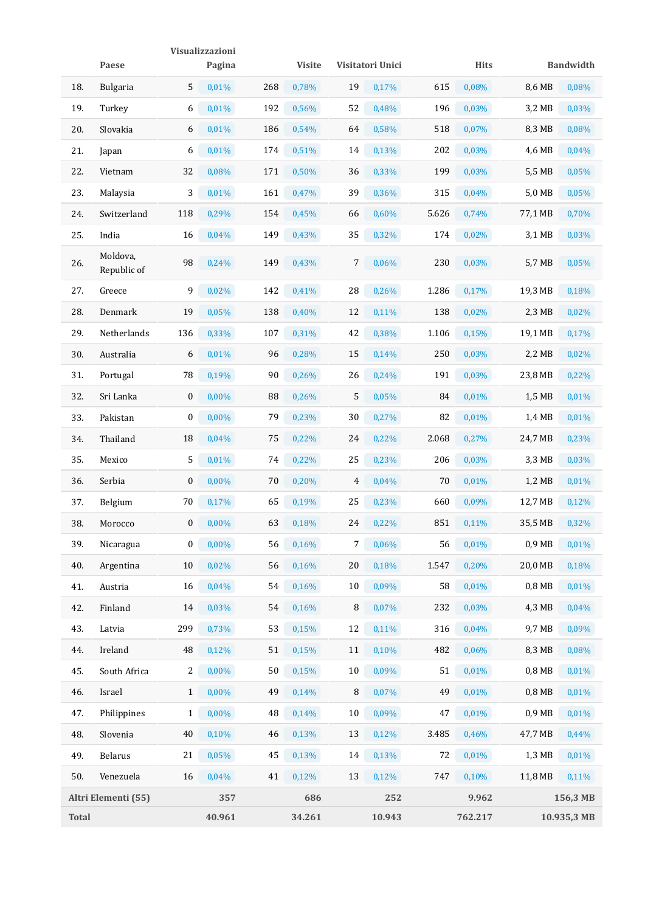|              | Paese                   |                  | <b>Visualizzazioni</b> |     |               |        |                  |       |             |          |                  |
|--------------|-------------------------|------------------|------------------------|-----|---------------|--------|------------------|-------|-------------|----------|------------------|
|              |                         |                  | Pagina                 |     | <b>Visite</b> |        | Visitatori Unici |       | <b>Hits</b> |          | <b>Bandwidth</b> |
| 18.          | <b>Bulgaria</b>         | 5                | 0,01%                  | 268 | 0,78%         | 19     | 0,17%            | 615   | 0,08%       | 8,6 MB   | 0,08%            |
| 19.          | Turkey                  | 6                | 0,01%                  | 192 | 0,56%         | 52     | 0,48%            | 196   | 0,03%       | 3,2 MB   | 0,03%            |
| 20.          | Slovakia                | 6                | 0,01%                  | 186 | 0,54%         | 64     | 0,58%            | 518   | 0,07%       | 8,3 MB   | 0,08%            |
| 21.          | Japan                   | 6                | 0,01%                  | 174 | 0,51%         | 14     | 0,13%            | 202   | 0,03%       | 4,6 MB   | 0,04%            |
| 22.          | Vietnam                 | 32               | 0,08%                  | 171 | 0,50%         | 36     | 0,33%            | 199   | 0,03%       | 5,5 MB   | 0,05%            |
| 23.          | Malaysia                | 3                | 0,01%                  | 161 | 0,47%         | 39     | 0,36%            | 315   | $0.04\%$    | 5,0 MB   | 0,05%            |
| 24.          | Switzerland             | 118              | 0,29%                  | 154 | 0,45%         | 66     | 0,60%            | 5.626 | 0,74%       | 77,1 MB  | 0,70%            |
| 25.          | India                   | 16               | 0,04%                  | 149 | 0,43%         | 35     | 0,32%            | 174   | $0,02\%$    | 3,1 MB   | 0,03%            |
| 26.          | Moldova,<br>Republic of | 98               | 0,24%                  | 149 | 0,43%         | 7      | 0,06%            | 230   | 0,03%       | 5,7 MB   | 0,05%            |
| 27.          | Greece                  | 9                | 0,02%                  | 142 | 0,41%         | 28     | 0,26%            | 1.286 | 0,17%       | 19,3 MB  | 0,18%            |
| 28.          | Denmark                 | 19               | 0,05%                  | 138 | 0,40%         | 12     | 0,11%            | 138   | 0,02%       | 2,3 MB   | 0,02%            |
| 29.          | Netherlands             | 136              | 0,33%                  | 107 | 0,31%         | 42     | 0,38%            | 1.106 | 0,15%       | 19,1 MB  | 0,17%            |
| 30.          | Australia               | 6                | 0,01%                  | 96  | 0,28%         | 15     | 0,14%            | 250   | 0,03%       | 2,2 MB   | 0,02%            |
| 31.          | Portugal                | 78               | 0,19%                  | 90  | 0,26%         | 26     | 0,24%            | 191   | 0,03%       | 23,8 MB  | 0,22%            |
| 32.          | Sri Lanka               | $\boldsymbol{0}$ | 0,00%                  | 88  | 0,26%         | 5      | 0,05%            | 84    | 0,01%       | 1,5 MB   | 0,01%            |
| 33.          | Pakistan                | 0                | $0,00\%$               | 79  | 0,23%         | 30     | 0,27%            | 82    | 0,01%       | 1,4 MB   | 0,01%            |
| 34.          | Thailand                | 18               | 0,04%                  | 75  | 0,22%         | 24     | 0,22%            | 2.068 | 0,27%       | 24,7 MB  | 0,23%            |
| 35.          | Mexico                  | 5                | 0,01%                  | 74  | $0,22\%$      | 25     | 0,23%            | 206   | 0,03%       | 3,3 MB   | 0,03%            |
| 36.          | Serbia                  | $\boldsymbol{0}$ | 0,00%                  | 70  | 0,20%         | 4      | 0,04%            | 70    | 0,01%       | 1,2 MB   | 0,01%            |
| 37.          | Belgium                 | 70               | 0,17%                  | 65  | 0,19%         | 25     | 0,23%            | 660   | 0,09%       | 12,7 MB  | 0,12%            |
| 38.          | Morocco                 | 0                | 0,00%                  | 63  | 0,18%         | 24     | 0,22%            | 851   | 0,11%       | 35,5 MB  | 0,32%            |
| 39.          | Nicaragua               | 0                | $0,00\%$               | 56  | 0,16%         | 7      | 0,06%            | 56    | 0,01%       | 0,9 MB   | 0,01%            |
| 40.          | Argentina               | 10               | 0,02%                  | 56  | 0,16%         | 20     | 0,18%            | 1.547 | 0,20%       | 20,0 MB  | 0,18%            |
| 41.          | Austria                 | 16               | 0,04%                  | 54  | 0,16%         | $10\,$ | 0,09%            | 58    | 0,01%       | $0,8$ MB | 0,01%            |
| 42.          | Finland                 | 14               | 0,03%                  | 54  | 0,16%         | 8      | 0,07%            | 232   | 0,03%       | 4,3 MB   | 0,04%            |
| 43.          | Latvia                  | 299              | 0,73%                  | 53  | 0,15%         | 12     | 0,11%            | 316   | 0,04%       | 9,7 MB   | 0,09%            |
| 44.          | Ireland                 | 48               | 0,12%                  | 51  | 0,15%         | 11     | 0,10%            | 482   | 0,06%       | 8,3 MB   | 0,08%            |
| 45.          | South Africa            | 2                | 0,00%                  | 50  | 0,15%         | 10     | 0,09%            | 51    | 0,01%       | $0,8$ MB | 0,01%            |
| 46.          | Israel                  | $\mathbf{1}$     | 0,00%                  | 49  | 0,14%         | 8      | 0,07%            | 49    | 0,01%       | $0,8$ MB | 0,01%            |
| 47.          | Philippines             | $\mathbf{1}$     | $0,00\%$               | 48  | 0,14%         | 10     | 0,09%            | 47    | 0,01%       | 0,9 MB   | 0,01%            |
| 48.          | Slovenia                | 40               | 0,10%                  | 46  | 0,13%         | 13     | 0,12%            | 3.485 | 0,46%       | 47,7 MB  | 0,44%            |
| 49.          | <b>Belarus</b>          | 21               | 0,05%                  | 45  | 0,13%         | 14     | 0,13%            | 72    | 0,01%       | 1,3 MB   | 0,01%            |
| 50.          | Venezuela               | 16               | 0,04%                  | 41  | 0,12%         | 13     | 0,12%            | 747   | 0,10%       | 11,8 MB  | 0,11%            |
|              | Altri Elementi (55)     |                  | 357                    |     | 686           |        | 252              |       | 9.962       |          | 156,3 MB         |
| <b>Total</b> |                         |                  | 40.961                 |     | 34.261        |        | 10.943           |       | 762.217     |          | 10.935,3 MB      |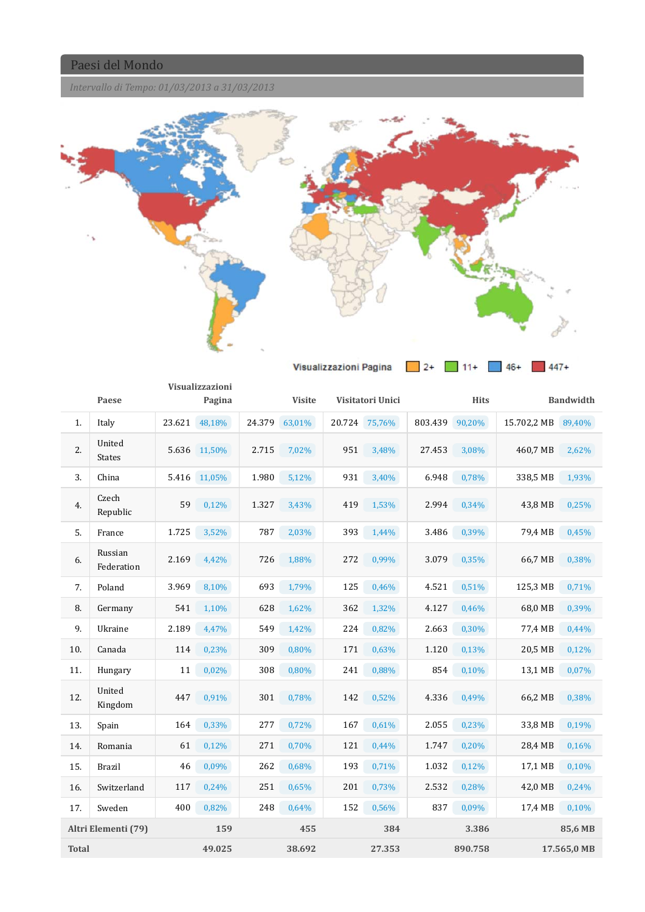*Intervallo di Tempo: 01/03/2013 a 31/03/2013*



|              |                       |       | Visualizzazioni |        |               |     |                  |         |             |                    |                  |
|--------------|-----------------------|-------|-----------------|--------|---------------|-----|------------------|---------|-------------|--------------------|------------------|
|              | Paese                 |       | Pagina          |        | <b>Visite</b> |     | Visitatori Unici |         | <b>Hits</b> |                    | <b>Bandwidth</b> |
| 1.           | Italy                 |       | 23.621 48,18%   | 24.379 | 63,01%        |     | 20.724 75,76%    | 803.439 | 90,20%      | 15.702,2 MB 89,40% |                  |
| 2.           | United<br>States      |       | 5.636 11,50%    | 2.715  | 7,02%         | 951 | 3,48%            | 27.453  | 3,08%       | 460,7 MB           | 2,62%            |
| 3.           | China                 |       | 5.416 11,05%    | 1.980  | 5,12%         | 931 | 3,40%            | 6.948   | 0,78%       | 338,5 MB           | 1,93%            |
| 4.           | Czech<br>Republic     | 59    | 0,12%           | 1.327  | 3,43%         | 419 | 1,53%            | 2.994   | 0,34%       | 43,8 MB            | 0,25%            |
| 5.           | France                | 1.725 | 3,52%           | 787    | 2,03%         | 393 | 1,44%            | 3.486   | 0,39%       | 79,4 MB            | 0,45%            |
| 6.           | Russian<br>Federation | 2.169 | 4,42%           | 726    | 1,88%         | 272 | 0,99%            | 3.079   | 0,35%       | 66,7 MB            | 0,38%            |
| 7.           | Poland                | 3.969 | 8,10%           | 693    | 1,79%         | 125 | 0,46%            | 4.521   | 0,51%       | 125,3 MB           | 0,71%            |
| 8.           | Germany               | 541   | 1,10%           | 628    | 1,62%         | 362 | 1,32%            | 4.127   | 0,46%       | 68,0 MB            | 0,39%            |
| 9.           | Ukraine               | 2.189 | 4,47%           | 549    | 1,42%         | 224 | 0,82%            | 2.663   | 0,30%       | 77,4 MB            | 0,44%            |
| 10.          | Canada                | 114   | 0,23%           | 309    | 0,80%         | 171 | 0,63%            | 1.120   | 0,13%       | 20,5 MB            | 0,12%            |
| 11.          | Hungary               | 11    | 0,02%           | 308    | 0,80%         | 241 | 0,88%            | 854     | 0,10%       | 13,1 MB            | 0,07%            |
| 12.          | United<br>Kingdom     | 447   | 0,91%           | 301    | 0,78%         | 142 | 0,52%            | 4.336   | 0,49%       | 66,2 MB            | 0,38%            |
| 13.          | Spain                 | 164   | 0,33%           | 277    | 0,72%         | 167 | 0,61%            | 2.055   | 0,23%       | 33,8 MB            | 0,19%            |
| 14.          | Romania               | 61    | 0,12%           | 271    | 0,70%         | 121 | 0,44%            | 1.747   | 0,20%       | 28,4 MB            | 0,16%            |
| 15.          | <b>Brazil</b>         | 46    | 0,09%           | 262    | 0,68%         | 193 | 0,71%            | 1.032   | 0,12%       | 17,1 MB            | 0,10%            |
| 16.          | Switzerland           | 117   | 0,24%           | 251    | 0,65%         | 201 | 0,73%            | 2.532   | 0,28%       | 42,0 MB            | 0,24%            |
| 17.          | Sweden                | 400   | 0,82%           | 248    | 0,64%         | 152 | 0,56%            | 837     | 0,09%       | 17,4 MB            | 0,10%            |
|              | Altri Elementi (79)   |       | 159             |        | 455           |     | 384              |         | 3.386       |                    | 85,6 MB          |
| <b>Total</b> |                       |       | 49.025          |        | 38.692        |     | 27.353           |         | 890.758     |                    | 17.565,0 MB      |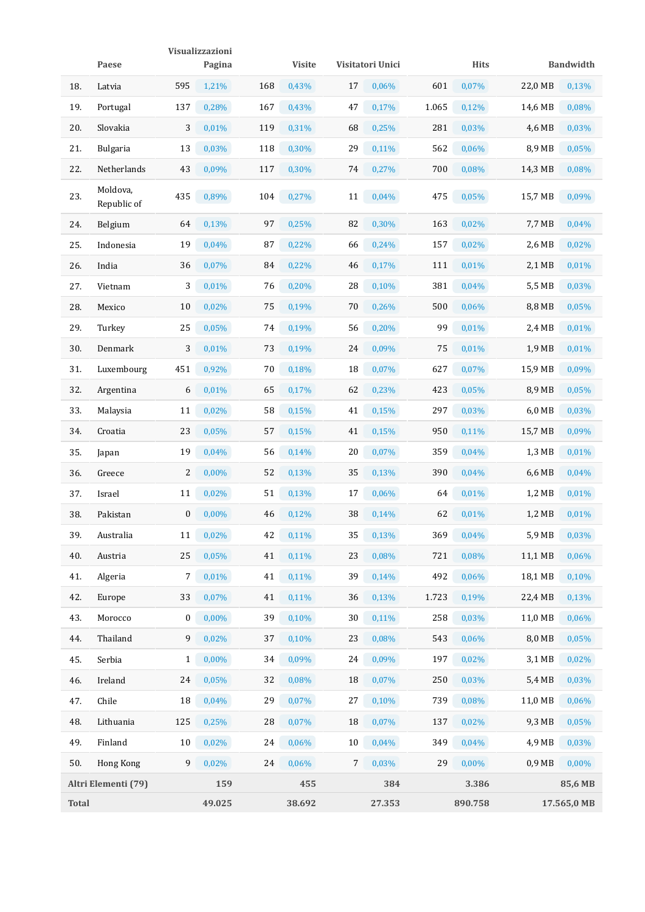|              |                         |                  | Visualizzazioni   |     |               |    |                   |       |             |                   |                  |
|--------------|-------------------------|------------------|-------------------|-----|---------------|----|-------------------|-------|-------------|-------------------|------------------|
|              | Paese                   |                  | Pagina            |     | <b>Visite</b> |    | Visitatori Unici  |       | <b>Hits</b> |                   | <b>Bandwidth</b> |
| 18.          | Latvia                  | 595              | 1,21%             | 168 | 0,43%         | 17 | 0,06%             | 601   | 0,07%       | 22,0 MB           | 0,13%            |
| 19.          | Portugal                | 137              | 0,28%             | 167 | 0,43%         | 47 | 0,17%             | 1.065 | 0,12%       | 14,6 MB           | 0,08%            |
| 20.          | Slovakia                | 3                | 0,01%             | 119 | 0,31%         | 68 | 0,25%             | 281   | 0,03%       | 4,6 MB            | 0,03%            |
| 21.          | <b>Bulgaria</b>         | 13               | 0,03%             | 118 | 0,30%         | 29 | $0,11\%$          | 562   | 0,06%       | 8,9 MB            | 0,05%            |
| 22.          | Netherlands             | 43               | 0,09%             | 117 | 0,30%         | 74 | 0,27%             | 700   | 0,08%       | 14,3 MB           | 0,08%            |
| 23.          | Moldova,<br>Republic of | 435              | 0,89%             | 104 | 0,27%         | 11 | 0,04%             | 475   | 0,05%       | 15,7 MB           | 0,09%            |
| 24.          | Belgium                 | 64               | 0,13%             | 97  | 0,25%         | 82 | 0,30%             | 163   | 0,02%       | 7,7 MB            | 0,04%            |
| 25.          | Indonesia               | 19               | 0,04%             | 87  | $0,22\%$      | 66 | 0,24%             | 157   | 0,02%       | 2,6 MB            | 0,02%            |
| 26.          | India                   | 36               | 0,07%             | 84  | 0,22%         | 46 | 0,17%             | 111   | 0,01%       | 2,1 MB            | 0,01%            |
| 27.          | Vietnam                 | 3                | 0,01%             | 76  | 0,20%         | 28 | 0,10%             | 381   | 0,04%       | 5,5 MB            | 0,03%            |
| 28.          | Mexico                  | 10               | 0,02%             | 75  | 0,19%         | 70 | 0,26%             | 500   | 0,06%       | 8,8 MB            | 0,05%            |
| 29.          | Turkey                  | 25               | 0,05%             | 74  | 0,19%         | 56 | 0,20%             | 99    | 0,01%       | 2,4 MB            | 0,01%            |
| 30.          | Denmark                 | 3                | 0,01%             | 73  | 0,19%         | 24 | 0,09%             | 75    | 0,01%       | 1,9 MB            | 0,01%            |
| 31.          | Luxembourg              | 451              | 0,92%             | 70  | 0,18%         | 18 | 0,07%             | 627   | 0,07%       | 15,9 MB           | 0,09%            |
| 32.          | Argentina               | 6                | 0,01%             | 65  | 0,17%         | 62 | 0,23%             | 423   | 0,05%       | 8,9 MB            | 0,05%            |
| 33.          | Malaysia                | 11               | 0,02%             | 58  | 0,15%         | 41 | 0,15%             | 297   | 0,03%       | 6,0 MB            | 0,03%            |
| 34.          | Croatia                 | 23               | 0,05%             | 57  | 0,15%         | 41 | 0,15%             | 950   | 0,11%       | 15,7 MB           | 0,09%            |
| 35.          | Japan                   | 19               | 0,04%             | 56  | 0,14%         | 20 | 0,07%             | 359   | 0,04%       | 1,3 MB            | 0,01%            |
| 36.          | Greece                  | 2                | 0,00%             | 52  | 0,13%         | 35 | 0,13%             | 390   | 0,04%       | 6,6 MB            | 0,04%            |
| 37.          | Israel                  | 11               | 0,02%             | 51  | 0,13%         | 17 | 0,06%             | 64    | 0,01%       | 1,2 MB            | 0,01%            |
| 38.          | Pakistan                | $\boldsymbol{0}$ | 0,00%             | 46  | 0,12%         | 38 | 0,14%             | 62    | 0,01%       | 1,2 MB            | 0,01%            |
| 39.          | Australia               |                  | $11 \quad 0,02\%$ |     | 42 0,11%      |    | $35\qquad 0,13\%$ |       | 369 0,04%   | 5,9 MB 0,03%      |                  |
| 40.          | Austria                 | 25               | 0,05%             | 41  | 0,11%         | 23 | 0,08%             | 721   | 0,08%       | 11,1 MB           | 0,06%            |
| 41.          | Algeria                 | 7                | 0,01%             | 41  | 0,11%         | 39 | 0,14%             | 492   | 0,06%       | 18,1 MB           | 0,10%            |
| 42.          | Europe                  | 33               | 0,07%             | 41  | $0,11\%$      | 36 | 0,13%             | 1.723 | 0,19%       | 22,4 MB           | 0,13%            |
| 43.          | Morocco                 | 0                | $0,00\%$          | 39  | 0,10%         | 30 | $0,11\%$          | 258   | 0,03%       | 11,0 MB           | 0,06%            |
| 44.          | Thailand                | 9                | 0,02%             | 37  | 0,10%         | 23 | 0,08%             | 543   | 0,06%       | 8,0 MB            | 0,05%            |
| 45.          | Serbia                  | $\mathbf{1}$     | $0,00\%$          | 34  | 0,09%         | 24 | 0,09%             | 197   | 0,02%       | 3,1 MB            | 0,02%            |
| 46.          | Ireland                 | 24               | 0,05%             | 32  | 0,08%         | 18 | 0,07%             | 250   | 0,03%       | 5,4 MB            | 0,03%            |
| 47.          | Chile                   | 18               | 0,04%             | 29  | 0,07%         | 27 | 0,10%             | 739   | 0,08%       | 11,0 MB           | 0,06%            |
| 48.          | Lithuania               | 125              | 0,25%             | 28  | 0,07%         | 18 | 0,07%             | 137   | $0,02\%$    | 9,3 MB            | 0,05%            |
| 49.          | Finland                 | 10               | 0,02%             | 24  | 0,06%         | 10 | $0,04\%$          | 349   | 0,04%       | 4,9 MB            | 0,03%            |
| 50.          | Hong Kong               | 9                | 0,02%             | 24  | 0,06%         | 7  | 0,03%             | 29    | $0,00\%$    | 0.9 <sub>MB</sub> | 0,00%            |
|              | Altri Elementi (79)     |                  | 159               |     | 455           |    | 384               |       | 3.386       |                   | 85,6 MB          |
| <b>Total</b> |                         |                  | 49.025            |     | 38.692        |    | 27.353            |       | 890.758     |                   | 17.565,0 MB      |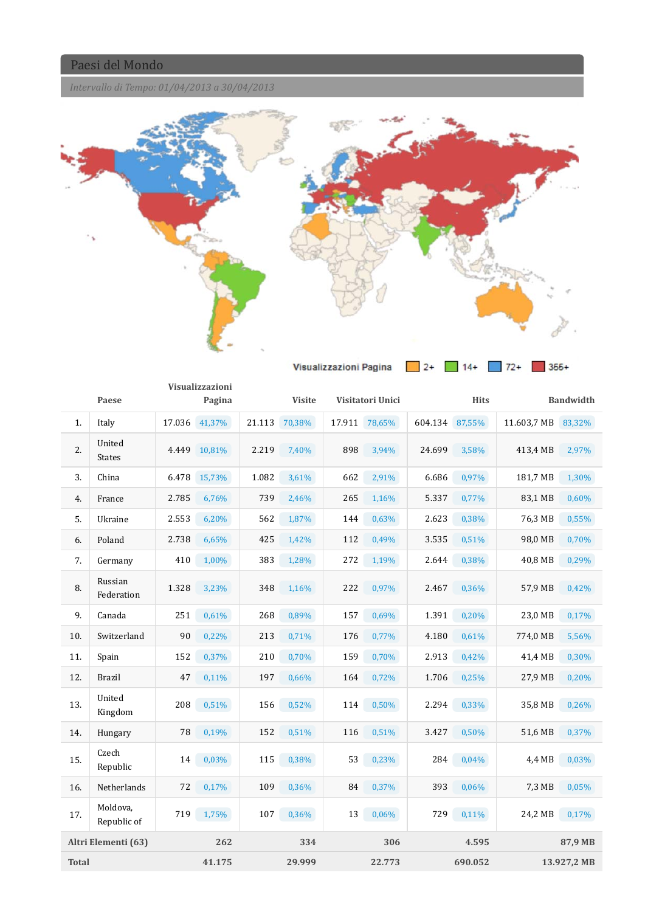*Intervallo di Tempo: 01/04/2013 a 30/04/2013*



|              |                         |        | Visualizzazioni |        |               |        |                  |         |             |             |                  |
|--------------|-------------------------|--------|-----------------|--------|---------------|--------|------------------|---------|-------------|-------------|------------------|
|              | Paese                   |        | Pagina          |        | <b>Visite</b> |        | Visitatori Unici |         | <b>Hits</b> |             | <b>Bandwidth</b> |
| 1.           | Italy                   | 17.036 | 41,37%          | 21.113 | 70,38%        | 17.911 | 78,65%           | 604.134 | 87,55%      | 11.603,7 MB | 83,32%           |
| 2.           | United<br><b>States</b> | 4.449  | 10,81%          | 2.219  | 7,40%         | 898    | 3,94%            | 24.699  | 3,58%       | 413,4 MB    | 2,97%            |
| 3.           | China                   | 6.478  | 15,73%          | 1.082  | 3,61%         | 662    | 2,91%            | 6.686   | 0,97%       | 181,7 MB    | 1,30%            |
| 4.           | France                  | 2.785  | 6,76%           | 739    | 2,46%         | 265    | 1,16%            | 5.337   | 0,77%       | 83,1 MB     | 0,60%            |
| 5.           | Ukraine                 | 2.553  | 6,20%           | 562    | 1,87%         | 144    | 0,63%            | 2.623   | 0,38%       | 76,3 MB     | 0,55%            |
| 6.           | Poland                  | 2.738  | 6,65%           | 425    | 1,42%         | 112    | 0,49%            | 3.535   | 0,51%       | 98,0 MB     | 0,70%            |
| 7.           | Germany                 | 410    | 1,00%           | 383    | 1,28%         | 272    | 1,19%            | 2.644   | 0,38%       | 40,8 MB     | 0,29%            |
| 8.           | Russian<br>Federation   | 1.328  | 3,23%           | 348    | 1,16%         | 222    | 0,97%            | 2.467   | 0,36%       | 57,9 MB     | 0,42%            |
| 9.           | Canada                  | 251    | 0,61%           | 268    | 0,89%         | 157    | 0,69%            | 1.391   | 0,20%       | 23,0 MB     | 0,17%            |
| 10.          | Switzerland             | 90     | 0,22%           | 213    | 0,71%         | 176    | 0,77%            | 4.180   | 0,61%       | 774,0 MB    | 5,56%            |
| 11.          | Spain                   | 152    | 0,37%           | 210    | 0,70%         | 159    | 0,70%            | 2.913   | 0,42%       | 41,4 MB     | 0,30%            |
| 12.          | <b>Brazil</b>           | 47     | 0,11%           | 197    | 0,66%         | 164    | 0,72%            | 1.706   | 0,25%       | 27,9 MB     | 0,20%            |
| 13.          | United<br>Kingdom       | 208    | 0,51%           | 156    | 0,52%         | 114    | 0,50%            | 2.294   | 0,33%       | 35,8 MB     | 0,26%            |
| 14.          | Hungary                 | 78     | 0,19%           | 152    | 0,51%         | 116    | 0,51%            | 3.427   | 0,50%       | 51,6 MB     | 0,37%            |
| 15.          | Czech<br>Republic       | 14     | 0,03%           | 115    | 0,38%         | 53     | 0,23%            | 284     | 0,04%       | 4,4 MB      | 0,03%            |
| 16.          | Netherlands             | 72     | 0,17%           | 109    | 0,36%         | 84     | 0,37%            | 393     | 0,06%       | 7,3 MB      | 0,05%            |
| 17.          | Moldova,<br>Republic of | 719    | 1,75%           | 107    | 0,36%         | 13     | 0,06%            | 729     | 0,11%       | 24,2 MB     | 0,17%            |
|              | Altri Elementi (63)     |        | 262             |        | 334           |        | 306              |         | 4.595       |             | 87,9 MB          |
| <b>Total</b> |                         |        | 41.175          |        | 29.999        |        | 22.773           |         | 690.052     |             | 13.927,2 MB      |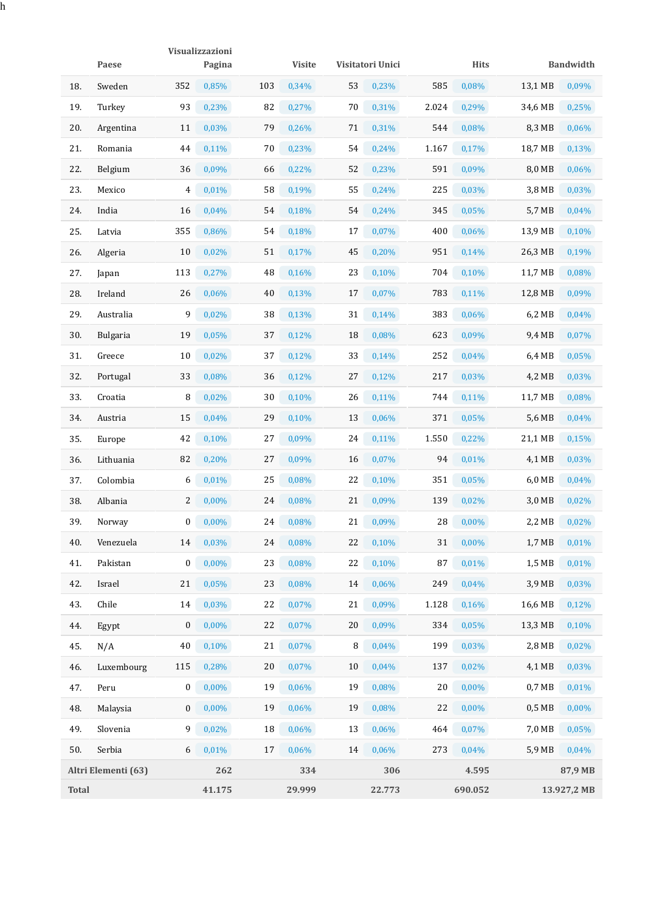|              |                     |     | Visualizzazioni |     |               |    |                  |       |             |          |                  |  |
|--------------|---------------------|-----|-----------------|-----|---------------|----|------------------|-------|-------------|----------|------------------|--|
|              | Paese               |     | Pagina          |     | <b>Visite</b> |    | Visitatori Unici |       | <b>Hits</b> |          | <b>Bandwidth</b> |  |
| 18.          | Sweden              | 352 | 0,85%           | 103 | 0,34%         | 53 | 0,23%            | 585   | 0,08%       | 13,1 MB  | 0,09%            |  |
| 19.          | Turkey              | 93  | 0,23%           | 82  | 0,27%         | 70 | 0,31%            | 2.024 | 0,29%       | 34,6 MB  | 0,25%            |  |
| 20.          | Argentina           | 11  | 0,03%           | 79  | 0,26%         | 71 | 0,31%            | 544   | 0,08%       | 8,3 MB   | 0,06%            |  |
| 21.          | Romania             | 44  | 0,11%           | 70  | 0,23%         | 54 | 0,24%            | 1.167 | 0,17%       | 18,7 MB  | 0,13%            |  |
| 22.          | Belgium             | 36  | 0,09%           | 66  | 0,22%         | 52 | 0,23%            | 591   | 0,09%       | 8,0 MB   | 0,06%            |  |
| 23.          | Mexico              | 4   | 0,01%           | 58  | 0,19%         | 55 | 0,24%            | 225   | 0,03%       | 3,8 MB   | 0,03%            |  |
| 24.          | India               | 16  | 0,04%           | 54  | 0,18%         | 54 | 0,24%            | 345   | 0,05%       | 5,7 MB   | 0,04%            |  |
| 25.          | Latvia              | 355 | 0,86%           | 54  | 0,18%         | 17 | 0,07%            | 400   | 0,06%       | 13,9 MB  | 0,10%            |  |
| 26.          | Algeria             | 10  | 0,02%           | 51  | 0,17%         | 45 | 0,20%            | 951   | 0,14%       | 26,3 MB  | 0,19%            |  |
| 27.          | Japan               | 113 | 0,27%           | 48  | 0,16%         | 23 | 0,10%            | 704   | 0,10%       | 11,7 MB  | 0,08%            |  |
| 28.          | Ireland             | 26  | 0,06%           | 40  | 0,13%         | 17 | 0,07%            | 783   | 0,11%       | 12,8 MB  | 0,09%            |  |
| 29.          | Australia           | 9   | 0,02%           | 38  | 0,13%         | 31 | 0,14%            | 383   | 0,06%       | 6,2 MB   | 0,04%            |  |
| 30.          | <b>Bulgaria</b>     | 19  | 0,05%           | 37  | 0,12%         | 18 | 0,08%            | 623   | 0,09%       | 9,4 MB   | 0,07%            |  |
| 31.          | Greece              | 10  | 0,02%           | 37  | 0,12%         | 33 | 0,14%            | 252   | 0,04%       | 6,4 MB   | 0,05%            |  |
| 32.          | Portugal            | 33  | 0,08%           | 36  | 0,12%         | 27 | 0,12%            | 217   | 0,03%       | 4,2 MB   | 0,03%            |  |
| 33.          | Croatia             | 8   | 0,02%           | 30  | 0,10%         | 26 | 0,11%            | 744   | $0,11\%$    | 11,7 MB  | 0,08%            |  |
| 34.          | Austria             | 15  | 0,04%           | 29  | 0,10%         | 13 | 0,06%            | 371   | 0,05%       | 5,6 MB   | 0,04%            |  |
| 35.          | Europe              | 42  | 0,10%           | 27  | 0,09%         | 24 | $0,11\%$         | 1.550 | $0,22\%$    | 21,1 MB  | 0,15%            |  |
| 36.          | Lithuania           | 82  | 0,20%           | 27  | 0,09%         | 16 | 0,07%            | 94    | 0,01%       | 4,1 MB   | 0,03%            |  |
| 37.          | Colombia            | 6   | 0,01%           | 25  | 0,08%         | 22 | 0,10%            | 351   | 0,05%       | 6,0 MB   | 0,04%            |  |
| 38.          | Albania             | 2   | $0,00\%$        | 24  | 0,08%         | 21 | 0,09%            | 139   | 0,02%       | 3,0 MB   | 0,02%            |  |
| 39.          | Norway              | 0   | 0,00%           | 24  | 0,08%         | 21 | 0,09%            | 28    | 0,00%       | 2,2 MB   | 0,02%            |  |
| 40.          | Venezuela           | 14  | 0,03%           | 24  | 0,08%         | 22 | 0,10%            | 31    | 0,00%       | 1,7 MB   | 0,01%            |  |
| 41.          | Pakistan            | 0   | $0,00\%$        | 23  | 0,08%         | 22 | 0,10%            | 87    | 0,01%       | 1,5 MB   | 0,01%            |  |
| 42.          | Israel              | 21  | 0,05%           | 23  | 0,08%         | 14 | 0,06%            | 249   | 0,04%       | 3,9 MB   | 0,03%            |  |
| 43.          | Chile               | 14  | 0,03%           | 22  | 0,07%         | 21 | 0,09%            | 1.128 | 0,16%       | 16,6 MB  | 0,12%            |  |
| 44.          | Egypt               | 0   | 0,00%           | 22  | 0,07%         | 20 | 0,09%            | 334   | 0,05%       | 13,3 MB  | 0,10%            |  |
| 45.          | N/A                 | 40  | 0,10%           | 21  | 0,07%         | 8  | 0,04%            | 199   | 0,03%       | 2,8 MB   | 0,02%            |  |
| 46.          | Luxembourg          | 115 | 0,28%           | 20  | 0,07%         | 10 | 0,04%            | 137   | 0,02%       | 4,1 MB   | 0,03%            |  |
| 47.          | Peru                | 0   | $0,00\%$        | 19  | 0,06%         | 19 | 0,08%            | 20    | $0,00\%$    | $0,7$ MB | 0,01%            |  |
| 48.          | Malaysia            | 0   | 0,00%           | 19  | 0,06%         | 19 | 0,08%            | 22    | 0,00%       | $0,5$ MB | 0,00%            |  |
| 49.          | Slovenia            | 9   | 0,02%           | 18  | 0,06%         | 13 | 0,06%            | 464   | 0,07%       | 7,0 MB   | 0,05%            |  |
| 50.          | Serbia              | 6   | 0,01%           | 17  | 0,06%         | 14 | 0,06%            | 273   | 0,04%       | 5,9 MB   | 0,04%            |  |
|              | Altri Elementi (63) |     | 262             |     | 334           |    | 306              |       | 4.595       |          | 87,9 MB          |  |
| <b>Total</b> |                     |     | 41.175          |     | 29.999        |    | 22.773           |       | 690.052     |          | 13.927,2 MB      |  |

h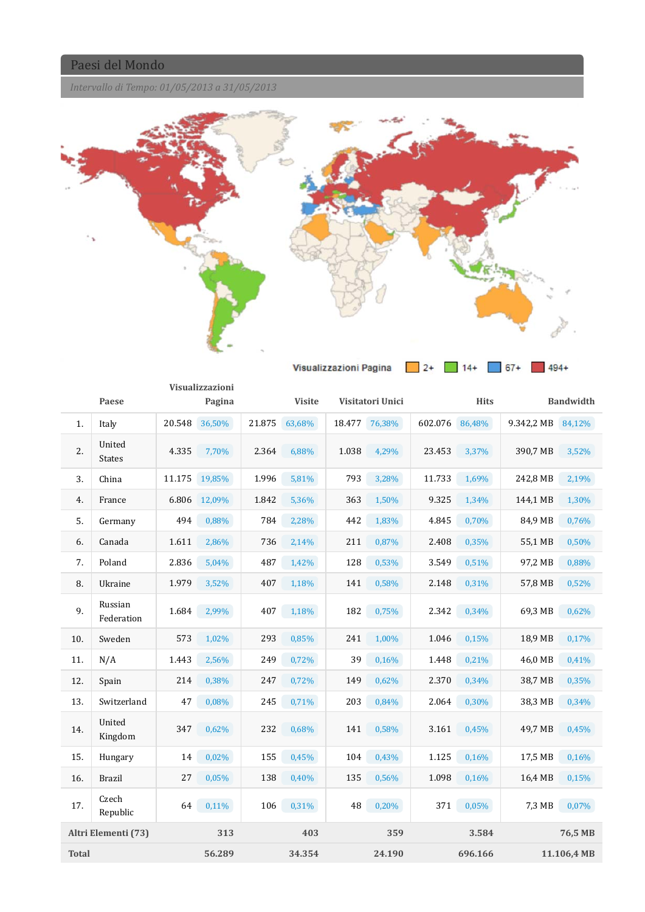*Intervallo di Tempo: 01/05/2013 a 31/05/2013*



|              |                         |        | Visualizzazioni |        |               |        |                  |         |             |            |                  |
|--------------|-------------------------|--------|-----------------|--------|---------------|--------|------------------|---------|-------------|------------|------------------|
|              | Paese                   |        | Pagina          |        | <b>Visite</b> |        | Visitatori Unici |         | <b>Hits</b> |            | <b>Bandwidth</b> |
| 1.           | Italy                   | 20.548 | 36,50%          | 21.875 | 63,68%        | 18.477 | 76,38%           | 602.076 | 86,48%      | 9.342,2 MB | 84,12%           |
| 2.           | United<br><b>States</b> | 4.335  | 7,70%           | 2.364  | 6,88%         | 1.038  | 4,29%            | 23.453  | 3,37%       | 390,7 MB   | 3,52%            |
| 3.           | China                   | 11.175 | 19,85%          | 1.996  | 5,81%         | 793    | 3,28%            | 11.733  | 1,69%       | 242,8 MB   | 2,19%            |
| 4.           | France                  | 6.806  | 12,09%          | 1.842  | 5,36%         | 363    | 1,50%            | 9.325   | 1,34%       | 144,1 MB   | 1,30%            |
| 5.           | Germany                 | 494    | 0,88%           | 784    | 2,28%         | 442    | 1,83%            | 4.845   | 0,70%       | 84,9 MB    | 0,76%            |
| 6.           | Canada                  | 1.611  | 2,86%           | 736    | 2,14%         | 211    | 0,87%            | 2.408   | 0,35%       | 55,1 MB    | 0,50%            |
| 7.           | Poland                  | 2.836  | 5,04%           | 487    | 1,42%         | 128    | 0,53%            | 3.549   | 0,51%       | 97,2 MB    | 0,88%            |
| 8.           | Ukraine                 | 1.979  | 3,52%           | 407    | 1,18%         | 141    | 0,58%            | 2.148   | 0,31%       | 57,8 MB    | 0,52%            |
| 9.           | Russian<br>Federation   | 1.684  | 2,99%           | 407    | 1,18%         | 182    | 0,75%            | 2.342   | 0,34%       | 69,3 MB    | 0,62%            |
| 10.          | Sweden                  | 573    | 1,02%           | 293    | 0,85%         | 241    | 1,00%            | 1.046   | 0,15%       | 18,9 MB    | 0,17%            |
| 11.          | N/A                     | 1.443  | 2,56%           | 249    | 0,72%         | 39     | 0,16%            | 1.448   | 0,21%       | 46,0 MB    | 0,41%            |
| 12.          | Spain                   | 214    | 0,38%           | 247    | 0,72%         | 149    | 0,62%            | 2.370   | 0,34%       | 38,7 MB    | 0,35%            |
| 13.          | Switzerland             | 47     | 0,08%           | 245    | 0,71%         | 203    | 0,84%            | 2.064   | 0,30%       | 38,3 MB    | 0,34%            |
| 14.          | United<br>Kingdom       | 347    | 0,62%           | 232    | 0,68%         | 141    | 0,58%            | 3.161   | 0,45%       | 49,7 MB    | 0,45%            |
| 15.          | Hungary                 | 14     | 0,02%           | 155    | 0,45%         | 104    | 0,43%            | 1.125   | 0,16%       | 17,5 MB    | 0,16%            |
| 16.          | <b>Brazil</b>           | 27     | 0,05%           | 138    | 0,40%         | 135    | 0,56%            | 1.098   | 0,16%       | 16,4 MB    | 0,15%            |
| 17.          | Czech<br>Republic       | 64     | 0,11%           | 106    | 0,31%         | 48     | 0,20%            | 371     | 0,05%       | 7,3 MB     | 0,07%            |
|              | Altri Elementi (73)     |        | 313             |        | 403           |        | 359              |         | 3.584       |            | 76,5 MB          |
| <b>Total</b> |                         |        | 56.289          |        | 34.354        |        | 24.190           |         | 696.166     |            | 11.106,4 MB      |